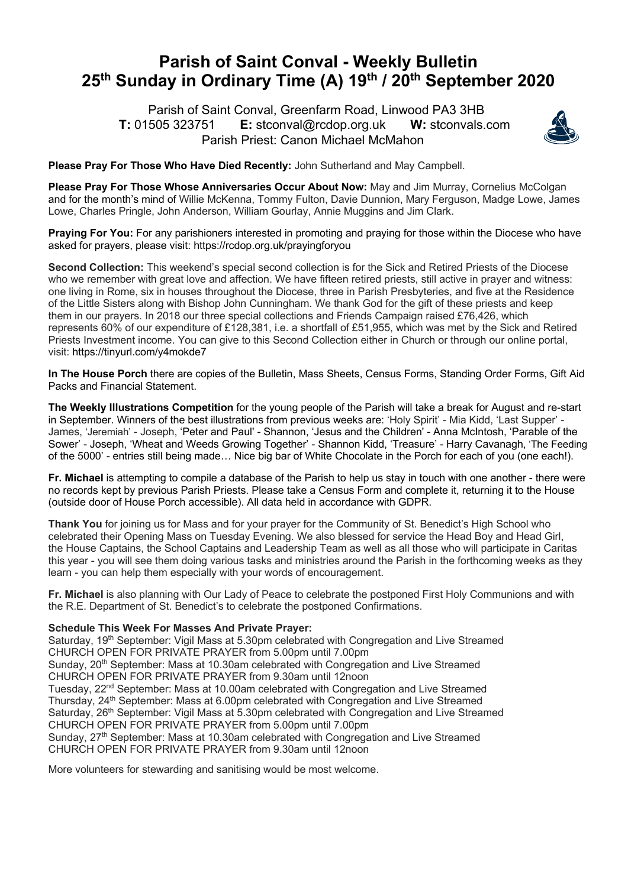## **Parish of Saint Conval - Weekly Bulletin 25th Sunday in Ordinary Time (A) 19th / 20th September 2020**

 Parish of Saint Conval, Greenfarm Road, Linwood PA3 3HB **T:** 01505 323751 **E:** stconval@rcdop.org.uk **W:** stconvals.com Parish Priest: Canon Michael McMahon



**Please Pray For Those Who Have Died Recently:** John Sutherland and May Campbell.

**Please Pray For Those Whose Anniversaries Occur About Now:** May and Jim Murray, Cornelius McColgan and for the month's mind of Willie McKenna, Tommy Fulton, Davie Dunnion, Mary Ferguson, Madge Lowe, James Lowe, Charles Pringle, John Anderson, William Gourlay, Annie Muggins and Jim Clark.

**Praying For You:** For any parishioners interested in promoting and praying for those within the Diocese who have asked for prayers, please visit: https://rcdop.org.uk/prayingforyou

**Second Collection:** This weekend's special second collection is for the Sick and Retired Priests of the Diocese who we remember with great love and affection. We have fifteen retired priests, still active in prayer and witness: one living in Rome, six in houses throughout the Diocese, three in Parish Presbyteries, and five at the Residence of the Little Sisters along with Bishop John Cunningham. We thank God for the gift of these priests and keep them in our prayers. In 2018 our three special collections and Friends Campaign raised £76,426, which represents 60% of our expenditure of £128,381, i.e. a shortfall of £51,955, which was met by the Sick and Retired Priests Investment income. You can give to this Second Collection either in Church or through our online portal, visit: https://tinyurl.com/y4mokde7

**In The House Porch** there are copies of the Bulletin, Mass Sheets, Census Forms, Standing Order Forms, Gift Aid Packs and Financial Statement.

**The Weekly Illustrations Competition** for the young people of the Parish will take a break for August and re-start in September. Winners of the best illustrations from previous weeks are: 'Holy Spirit' - Mia Kidd, 'Last Supper' - James, 'Jeremiah' - Joseph, 'Peter and Paul' - Shannon, 'Jesus and the Children' - Anna McIntosh, 'Parable of the Sower' - Joseph, 'Wheat and Weeds Growing Together' - Shannon Kidd, 'Treasure' - Harry Cavanagh, 'The Feeding of the 5000' - entries still being made… Nice big bar of White Chocolate in the Porch for each of you (one each!).

**Fr. Michael** is attempting to compile a database of the Parish to help us stay in touch with one another - there were no records kept by previous Parish Priests. Please take a Census Form and complete it, returning it to the House (outside door of House Porch accessible). All data held in accordance with GDPR.

**Thank You** for joining us for Mass and for your prayer for the Community of St. Benedict's High School who celebrated their Opening Mass on Tuesday Evening. We also blessed for service the Head Boy and Head Girl, the House Captains, the School Captains and Leadership Team as well as all those who will participate in Caritas this year - you will see them doing various tasks and ministries around the Parish in the forthcoming weeks as they learn - you can help them especially with your words of encouragement.

**Fr. Michael** is also planning with Our Lady of Peace to celebrate the postponed First Holy Communions and with the R.E. Department of St. Benedict's to celebrate the postponed Confirmations.

**Schedule This Week For Masses And Private Prayer:** 

Saturday, 19<sup>th</sup> September: Vigil Mass at 5.30pm celebrated with Congregation and Live Streamed CHURCH OPEN FOR PRIVATE PRAYER from 5.00pm until 7.00pm Sunday, 20<sup>th</sup> September: Mass at 10.30am celebrated with Congregation and Live Streamed CHURCH OPEN FOR PRIVATE PRAYER from 9.30am until 12noon Tuesday, 22nd September: Mass at 10.00am celebrated with Congregation and Live Streamed Thursday, 24<sup>th</sup> September: Mass at 6.00pm celebrated with Congregation and Live Streamed Saturday, 26<sup>th</sup> September: Vigil Mass at 5.30pm celebrated with Congregation and Live Streamed CHURCH OPEN FOR PRIVATE PRAYER from 5.00pm until 7.00pm Sunday, 27<sup>th</sup> September: Mass at 10.30am celebrated with Congregation and Live Streamed CHURCH OPEN FOR PRIVATE PRAYER from 9.30am until 12noon

More volunteers for stewarding and sanitising would be most welcome.